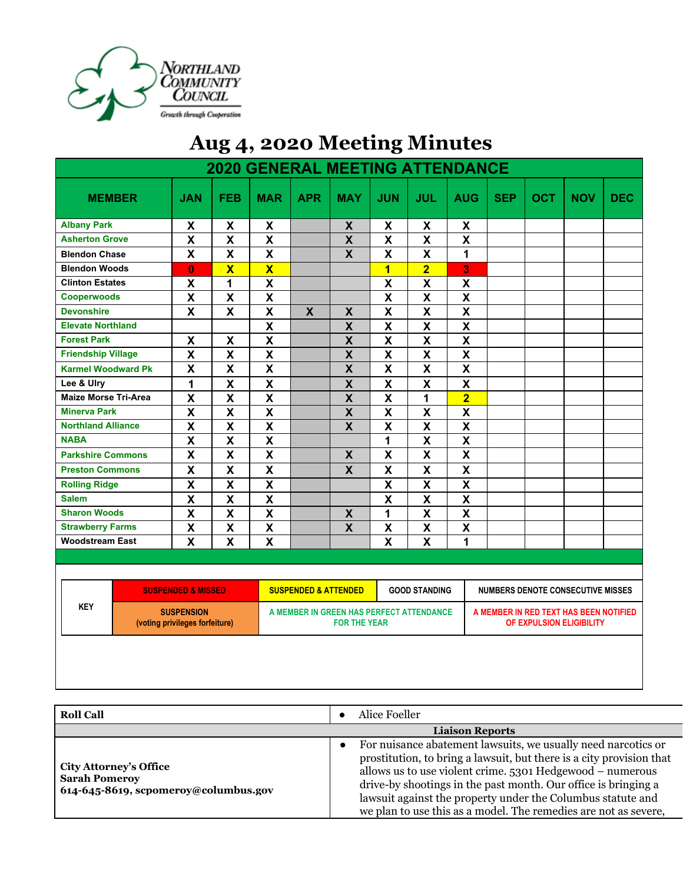

## **Aug 4, 2020 Meeting Minutes**

|                             |                                                     |                         | <b>2020 GENERAL MEETING ATTENDANCE</b> |                                 |                                                                 |                           |                           |                           |            |            |                                                                    |            |
|-----------------------------|-----------------------------------------------------|-------------------------|----------------------------------------|---------------------------------|-----------------------------------------------------------------|---------------------------|---------------------------|---------------------------|------------|------------|--------------------------------------------------------------------|------------|
| <b>MEMBER</b>               | <b>JAN</b>                                          | <b>FEB</b>              | <b>MAR</b>                             | <b>APR</b>                      | <b>MAY</b>                                                      | <b>JUN</b>                | <b>JUL</b>                | <b>AUG</b>                | <b>SEP</b> | <b>OCT</b> | <b>NOV</b>                                                         | <b>DEC</b> |
| <b>Albany Park</b>          | X                                                   | X                       | X                                      |                                 | X                                                               | X                         | X                         | X                         |            |            |                                                                    |            |
| <b>Asherton Grove</b>       | $\pmb{\mathsf{X}}$                                  | $\pmb{\mathsf{X}}$      | $\boldsymbol{\mathsf{X}}$              |                                 | $\mathsf{x}$                                                    | $\pmb{\mathsf{X}}$        | $\mathbf x$               | $\boldsymbol{\mathsf{x}}$ |            |            |                                                                    |            |
| <b>Blendon Chase</b>        | X                                                   | X                       | $\mathbf{x}$                           |                                 | $\mathsf{X}$                                                    | $\boldsymbol{\mathsf{x}}$ | $\mathbf x$               | $\mathbf{1}$              |            |            |                                                                    |            |
| <b>Blendon Woods</b>        | $\bf{0}$                                            | $\overline{\mathbf{X}}$ | $\overline{\mathbf{X}}$                |                                 |                                                                 | $\overline{1}$            | $\overline{2}$            | 3                         |            |            |                                                                    |            |
| <b>Clinton Estates</b>      | $\boldsymbol{\mathsf{X}}$                           | 1                       | $\overline{\mathbf{X}}$                |                                 |                                                                 | X                         | $\mathsf{X}$              | $\boldsymbol{\mathsf{X}}$ |            |            |                                                                    |            |
| <b>Cooperwoods</b>          | $\pmb{\mathsf{X}}$                                  | X                       | $\mathsf{X}$                           |                                 |                                                                 | $\boldsymbol{\mathsf{X}}$ | $\boldsymbol{\mathsf{X}}$ | $\mathsf{X}$              |            |            |                                                                    |            |
| <b>Devonshire</b>           | X                                                   | X                       | $\mathsf{X}$                           | $\boldsymbol{\mathsf{X}}$       | $\boldsymbol{\mathsf{X}}$                                       | $\boldsymbol{\mathsf{X}}$ | $\mathbf x$               | $\mathsf{X}$              |            |            |                                                                    |            |
| <b>Elevate Northland</b>    |                                                     |                         | $\boldsymbol{\mathsf{x}}$              |                                 | $\boldsymbol{\mathsf{X}}$                                       | X                         | $\boldsymbol{\mathsf{X}}$ | $\boldsymbol{\mathsf{x}}$ |            |            |                                                                    |            |
| <b>Forest Park</b>          | X                                                   | X                       | X                                      |                                 | $\boldsymbol{\mathsf{X}}$                                       | X                         | $\boldsymbol{\mathsf{X}}$ | $\boldsymbol{\mathsf{x}}$ |            |            |                                                                    |            |
| <b>Friendship Village</b>   | $\mathsf{X}$                                        | $\pmb{\mathsf{X}}$      | $\mathbf x$                            |                                 | $\boldsymbol{\mathsf{X}}$                                       | $\pmb{\mathsf{X}}$        | $\mathbf x$               | $\pmb{\mathsf{X}}$        |            |            |                                                                    |            |
| <b>Karmel Woodward Pk</b>   | X                                                   | X                       | $\mathbf{x}$                           |                                 | $\mathsf{X}$                                                    | X                         | $\mathbf x$               | X                         |            |            |                                                                    |            |
| Lee & Ulry                  | 1                                                   | X                       | X                                      |                                 | $\boldsymbol{\mathsf{X}}$                                       | $\boldsymbol{\mathsf{X}}$ | $\mathsf{x}$              | $\boldsymbol{\mathsf{x}}$ |            |            |                                                                    |            |
| <b>Maize Morse Tri-Area</b> | $\overline{\mathbf{x}}$                             | $\overline{\mathbf{x}}$ | $\overline{\mathbf{X}}$                |                                 | $\overline{\mathsf{X}}$                                         | X                         | $\mathbf{1}$              | $\overline{2}$            |            |            |                                                                    |            |
| <b>Minerva Park</b>         | $\mathsf{X}$                                        | X                       | $\mathsf{X}$                           |                                 | $\mathsf{X}$                                                    | X                         | $\mathsf{X}$              | $\boldsymbol{\mathsf{X}}$ |            |            |                                                                    |            |
| <b>Northland Alliance</b>   | $\mathsf{X}$                                        | X                       | $\mathsf{X}$                           |                                 | X                                                               | X                         | $\mathbf{x}$              | $\mathsf{X}$              |            |            |                                                                    |            |
| <b>NABA</b>                 | $\boldsymbol{\mathsf{X}}$                           | X                       | $\boldsymbol{\mathsf{x}}$              |                                 |                                                                 | 1                         | X                         | $\boldsymbol{\mathsf{X}}$ |            |            |                                                                    |            |
| <b>Parkshire Commons</b>    | $\pmb{\mathsf{X}}$                                  | X                       | $\mathsf{X}$                           |                                 | $\mathsf{x}$                                                    | X                         | $\mathbf x$               | $\mathsf{X}$              |            |            |                                                                    |            |
| <b>Preston Commons</b>      | $\mathsf{X}$                                        | X                       | X                                      |                                 | $\mathsf{x}$                                                    | $\mathsf{X}$              | $\mathbf{x}$              | $\boldsymbol{\mathsf{x}}$ |            |            |                                                                    |            |
| <b>Rolling Ridge</b>        | $\mathsf{X}$                                        | X                       | X                                      |                                 |                                                                 | X                         | $\boldsymbol{\mathsf{X}}$ | $\boldsymbol{\mathsf{x}}$ |            |            |                                                                    |            |
| <b>Salem</b>                | $\boldsymbol{\mathsf{X}}$                           | X                       | $\overline{\mathbf{X}}$                |                                 |                                                                 | X                         | $\mathbf{x}$              | $\boldsymbol{\mathsf{X}}$ |            |            |                                                                    |            |
| <b>Sharon Woods</b>         | $\boldsymbol{\mathsf{X}}$                           | X                       | $\boldsymbol{\mathsf{X}}$              |                                 | $\mathsf{X}$                                                    | 1                         | $\mathbf{x}$              | $\boldsymbol{\mathsf{X}}$ |            |            |                                                                    |            |
| <b>Strawberry Farms</b>     | $\boldsymbol{\mathsf{X}}$                           | X                       | $\overline{\mathbf{X}}$                |                                 | $\overline{\mathbf{X}}$                                         | X                         | $\boldsymbol{\mathsf{X}}$ | $\boldsymbol{\mathsf{X}}$ |            |            |                                                                    |            |
| <b>Woodstream East</b>      | $\mathbf x$                                         | X                       | $\overline{\mathsf{X}}$                |                                 |                                                                 | X                         | $\mathbf x$               | 1                         |            |            |                                                                    |            |
|                             |                                                     |                         |                                        |                                 |                                                                 |                           |                           |                           |            |            |                                                                    |            |
|                             |                                                     |                         |                                        |                                 |                                                                 |                           |                           |                           |            |            |                                                                    |            |
|                             | <b>SUSPENDED &amp; MISSED</b>                       |                         |                                        | <b>SUSPENDED &amp; ATTENDED</b> |                                                                 |                           | <b>GOOD STANDING</b>      |                           |            |            | <b>NUMBERS DENOTE CONSECUTIVE MISSES</b>                           |            |
| <b>KEY</b>                  | <b>SUSPENSION</b><br>(voting privileges forfeiture) |                         |                                        |                                 | A MEMBER IN GREEN HAS PERFECT ATTENDANCE<br><b>FOR THE YEAR</b> |                           |                           |                           |            |            | A MEMBER IN RED TEXT HAS BEEN NOTIFIED<br>OF EXPULSION ELIGIBILITY |            |
|                             |                                                     |                         |                                        |                                 |                                                                 |                           |                           |                           |            |            |                                                                    |            |

| <b>Roll Call</b>                                                                              | Alice Foeller                                                                                                                                                                                                                                                                                                                                                                                                       |
|-----------------------------------------------------------------------------------------------|---------------------------------------------------------------------------------------------------------------------------------------------------------------------------------------------------------------------------------------------------------------------------------------------------------------------------------------------------------------------------------------------------------------------|
|                                                                                               | <b>Liaison Reports</b>                                                                                                                                                                                                                                                                                                                                                                                              |
| <b>City Attorney's Office</b><br><b>Sarah Pomeroy</b><br>614-645-8619, scpomeroy@columbus.gov | For nuisance abatement lawsuits, we usually need narcotics or<br>$\bullet$<br>prostitution, to bring a lawsuit, but there is a city provision that<br>allows us to use violent crime. 5301 Hedgewood - numerous<br>drive-by shootings in the past month. Our office is bringing a<br>lawsuit against the property under the Columbus statute and<br>we plan to use this as a model. The remedies are not as severe, |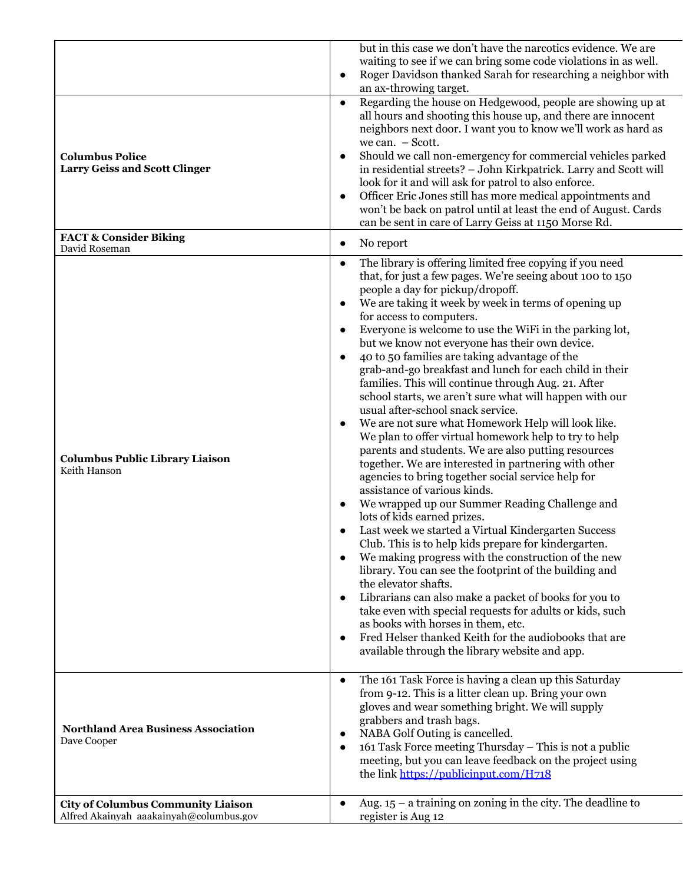|                                                                                      | but in this case we don't have the narcotics evidence. We are<br>waiting to see if we can bring some code violations in as well.<br>Roger Davidson thanked Sarah for researching a neighbor with<br>$\bullet$<br>an ax-throwing target.                                                                                                                                                                                                                                                                                                                                                                                                                                                                                                                                                                                                                                                                                                                                                                                                                                                                                                                                                                                                                                                                                                                                                                                                                                                                                                                                                                                                                                               |
|--------------------------------------------------------------------------------------|---------------------------------------------------------------------------------------------------------------------------------------------------------------------------------------------------------------------------------------------------------------------------------------------------------------------------------------------------------------------------------------------------------------------------------------------------------------------------------------------------------------------------------------------------------------------------------------------------------------------------------------------------------------------------------------------------------------------------------------------------------------------------------------------------------------------------------------------------------------------------------------------------------------------------------------------------------------------------------------------------------------------------------------------------------------------------------------------------------------------------------------------------------------------------------------------------------------------------------------------------------------------------------------------------------------------------------------------------------------------------------------------------------------------------------------------------------------------------------------------------------------------------------------------------------------------------------------------------------------------------------------------------------------------------------------|
| <b>Columbus Police</b><br><b>Larry Geiss and Scott Clinger</b>                       | Regarding the house on Hedgewood, people are showing up at<br>$\bullet$<br>all hours and shooting this house up, and there are innocent<br>neighbors next door. I want you to know we'll work as hard as<br>we can. - Scott.<br>Should we call non-emergency for commercial vehicles parked<br>$\bullet$<br>in residential streets? - John Kirkpatrick. Larry and Scott will<br>look for it and will ask for patrol to also enforce.<br>Officer Eric Jones still has more medical appointments and<br>$\bullet$<br>won't be back on patrol until at least the end of August. Cards<br>can be sent in care of Larry Geiss at 1150 Morse Rd.                                                                                                                                                                                                                                                                                                                                                                                                                                                                                                                                                                                                                                                                                                                                                                                                                                                                                                                                                                                                                                            |
| <b>FACT &amp; Consider Biking</b><br>David Roseman                                   | No report<br>$\bullet$                                                                                                                                                                                                                                                                                                                                                                                                                                                                                                                                                                                                                                                                                                                                                                                                                                                                                                                                                                                                                                                                                                                                                                                                                                                                                                                                                                                                                                                                                                                                                                                                                                                                |
| <b>Columbus Public Library Liaison</b><br>Keith Hanson                               | The library is offering limited free copying if you need<br>$\bullet$<br>that, for just a few pages. We're seeing about 100 to 150<br>people a day for pickup/dropoff.<br>We are taking it week by week in terms of opening up<br>$\bullet$<br>for access to computers.<br>Everyone is welcome to use the WiFi in the parking lot,<br>$\bullet$<br>but we know not everyone has their own device.<br>40 to 50 families are taking advantage of the<br>$\bullet$<br>grab-and-go breakfast and lunch for each child in their<br>families. This will continue through Aug. 21. After<br>school starts, we aren't sure what will happen with our<br>usual after-school snack service.<br>We are not sure what Homework Help will look like.<br>$\bullet$<br>We plan to offer virtual homework help to try to help<br>parents and students. We are also putting resources<br>together. We are interested in partnering with other<br>agencies to bring together social service help for<br>assistance of various kinds.<br>We wrapped up our Summer Reading Challenge and<br>$\bullet$<br>lots of kids earned prizes.<br>Last week we started a Virtual Kindergarten Success<br>Club. This is to help kids prepare for kindergarten.<br>We making progress with the construction of the new<br>$\bullet$<br>library. You can see the footprint of the building and<br>the elevator shafts.<br>Librarians can also make a packet of books for you to<br>$\bullet$<br>take even with special requests for adults or kids, such<br>as books with horses in them, etc.<br>Fred Helser thanked Keith for the audiobooks that are<br>$\bullet$<br>available through the library website and app. |
| <b>Northland Area Business Association</b><br>Dave Cooper                            | The 161 Task Force is having a clean up this Saturday<br>$\bullet$<br>from 9-12. This is a litter clean up. Bring your own<br>gloves and wear something bright. We will supply<br>grabbers and trash bags.<br>NABA Golf Outing is cancelled.<br>$\bullet$<br>161 Task Force meeting Thursday - This is not a public<br>$\bullet$<br>meeting, but you can leave feedback on the project using<br>the link https://publicinput.com/H718                                                                                                                                                                                                                                                                                                                                                                                                                                                                                                                                                                                                                                                                                                                                                                                                                                                                                                                                                                                                                                                                                                                                                                                                                                                 |
| <b>City of Columbus Community Liaison</b><br>Alfred Akainyah aaakainyah@columbus.gov | Aug. $15 - a$ training on zoning in the city. The deadline to<br>$\bullet$<br>register is Aug 12                                                                                                                                                                                                                                                                                                                                                                                                                                                                                                                                                                                                                                                                                                                                                                                                                                                                                                                                                                                                                                                                                                                                                                                                                                                                                                                                                                                                                                                                                                                                                                                      |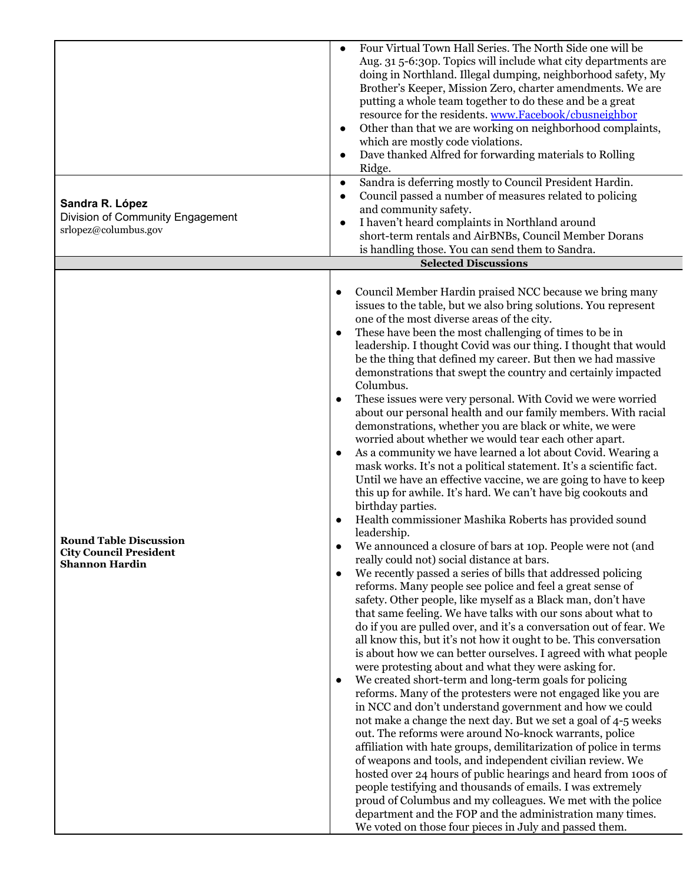|                                                                                         | Four Virtual Town Hall Series. The North Side one will be<br>$\bullet$<br>Aug. 31 5-6:30p. Topics will include what city departments are<br>doing in Northland. Illegal dumping, neighborhood safety, My<br>Brother's Keeper, Mission Zero, charter amendments. We are<br>putting a whole team together to do these and be a great<br>resource for the residents. www.Facebook/cbusneighbor<br>Other than that we are working on neighborhood complaints,<br>$\bullet$<br>which are mostly code violations.<br>Dave thanked Alfred for forwarding materials to Rolling<br>$\bullet$<br>Ridge.<br>Sandra is deferring mostly to Council President Hardin.<br>$\bullet$                                                                                                                                                                                                                                                                                                                                                                                                                                                                                                                                                                                                                                                                                                                                                                                                                                                                                                                                                                                                                                                                                                                                                                                                                                                                                                                                                                                                                                                                                                                                                                                                                                                                                                                                                                                                                                                                                                      |
|-----------------------------------------------------------------------------------------|----------------------------------------------------------------------------------------------------------------------------------------------------------------------------------------------------------------------------------------------------------------------------------------------------------------------------------------------------------------------------------------------------------------------------------------------------------------------------------------------------------------------------------------------------------------------------------------------------------------------------------------------------------------------------------------------------------------------------------------------------------------------------------------------------------------------------------------------------------------------------------------------------------------------------------------------------------------------------------------------------------------------------------------------------------------------------------------------------------------------------------------------------------------------------------------------------------------------------------------------------------------------------------------------------------------------------------------------------------------------------------------------------------------------------------------------------------------------------------------------------------------------------------------------------------------------------------------------------------------------------------------------------------------------------------------------------------------------------------------------------------------------------------------------------------------------------------------------------------------------------------------------------------------------------------------------------------------------------------------------------------------------------------------------------------------------------------------------------------------------------------------------------------------------------------------------------------------------------------------------------------------------------------------------------------------------------------------------------------------------------------------------------------------------------------------------------------------------------------------------------------------------------------------------------------------------------|
| Sandra R. López<br>Division of Community Engagement<br>srlopez@columbus.gov             | Council passed a number of measures related to policing<br>$\bullet$<br>and community safety.<br>I haven't heard complaints in Northland around<br>$\bullet$<br>short-term rentals and AirBNBs, Council Member Dorans<br>is handling those. You can send them to Sandra.                                                                                                                                                                                                                                                                                                                                                                                                                                                                                                                                                                                                                                                                                                                                                                                                                                                                                                                                                                                                                                                                                                                                                                                                                                                                                                                                                                                                                                                                                                                                                                                                                                                                                                                                                                                                                                                                                                                                                                                                                                                                                                                                                                                                                                                                                                   |
|                                                                                         | <b>Selected Discussions</b>                                                                                                                                                                                                                                                                                                                                                                                                                                                                                                                                                                                                                                                                                                                                                                                                                                                                                                                                                                                                                                                                                                                                                                                                                                                                                                                                                                                                                                                                                                                                                                                                                                                                                                                                                                                                                                                                                                                                                                                                                                                                                                                                                                                                                                                                                                                                                                                                                                                                                                                                                |
| <b>Round Table Discussion</b><br><b>City Council President</b><br><b>Shannon Hardin</b> | Council Member Hardin praised NCC because we bring many<br>$\bullet$<br>issues to the table, but we also bring solutions. You represent<br>one of the most diverse areas of the city.<br>These have been the most challenging of times to be in<br>$\bullet$<br>leadership. I thought Covid was our thing. I thought that would<br>be the thing that defined my career. But then we had massive<br>demonstrations that swept the country and certainly impacted<br>Columbus.<br>These issues were very personal. With Covid we were worried<br>$\bullet$<br>about our personal health and our family members. With racial<br>demonstrations, whether you are black or white, we were<br>worried about whether we would tear each other apart.<br>As a community we have learned a lot about Covid. Wearing a<br>mask works. It's not a political statement. It's a scientific fact.<br>Until we have an effective vaccine, we are going to have to keep<br>this up for awhile. It's hard. We can't have big cookouts and<br>birthday parties.<br>Health commissioner Mashika Roberts has provided sound<br>leadership.<br>We announced a closure of bars at 10p. People were not (and<br>really could not) social distance at bars.<br>We recently passed a series of bills that addressed policing<br>$\bullet$<br>reforms. Many people see police and feel a great sense of<br>safety. Other people, like myself as a Black man, don't have<br>that same feeling. We have talks with our sons about what to<br>do if you are pulled over, and it's a conversation out of fear. We<br>all know this, but it's not how it ought to be. This conversation<br>is about how we can better ourselves. I agreed with what people<br>were protesting about and what they were asking for.<br>We created short-term and long-term goals for policing<br>$\bullet$<br>reforms. Many of the protesters were not engaged like you are<br>in NCC and don't understand government and how we could<br>not make a change the next day. But we set a goal of 4-5 weeks<br>out. The reforms were around No-knock warrants, police<br>affiliation with hate groups, demilitarization of police in terms<br>of weapons and tools, and independent civilian review. We<br>hosted over 24 hours of public hearings and heard from 100s of<br>people testifying and thousands of emails. I was extremely<br>proud of Columbus and my colleagues. We met with the police<br>department and the FOP and the administration many times.<br>We voted on those four pieces in July and passed them. |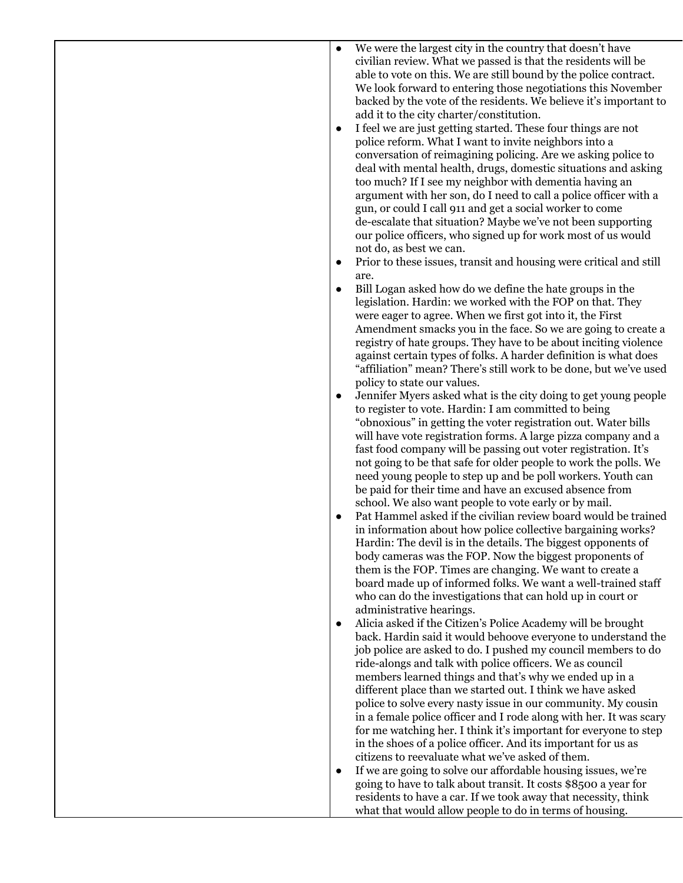| $\bullet$ | We were the largest city in the country that doesn't have          |
|-----------|--------------------------------------------------------------------|
|           |                                                                    |
|           | civilian review. What we passed is that the residents will be      |
|           | able to vote on this. We are still bound by the police contract.   |
|           | We look forward to entering those negotiations this November       |
|           |                                                                    |
|           | backed by the vote of the residents. We believe it's important to  |
|           | add it to the city charter/constitution.                           |
|           |                                                                    |
| ٠         | I feel we are just getting started. These four things are not      |
|           | police reform. What I want to invite neighbors into a              |
|           |                                                                    |
|           | conversation of reimagining policing. Are we asking police to      |
|           | deal with mental health, drugs, domestic situations and asking     |
|           | too much? If I see my neighbor with dementia having an             |
|           |                                                                    |
|           | argument with her son, do I need to call a police officer with a   |
|           | gun, or could I call 911 and get a social worker to come           |
|           | de-escalate that situation? Maybe we've not been supporting        |
|           |                                                                    |
|           | our police officers, who signed up for work most of us would       |
|           | not do, as best we can.                                            |
|           |                                                                    |
| ٠         | Prior to these issues, transit and housing were critical and still |
|           | are.                                                               |
|           | Bill Logan asked how do we define the hate groups in the           |
| $\bullet$ |                                                                    |
|           | legislation. Hardin: we worked with the FOP on that. They          |
|           | were eager to agree. When we first got into it, the First          |
|           |                                                                    |
|           | Amendment smacks you in the face. So we are going to create a      |
|           | registry of hate groups. They have to be about inciting violence   |
|           | against certain types of folks. A harder definition is what does   |
|           |                                                                    |
|           | "affiliation" mean? There's still work to be done, but we've used  |
|           | policy to state our values.                                        |
|           |                                                                    |
| $\bullet$ | Jennifer Myers asked what is the city doing to get young people    |
|           | to register to vote. Hardin: I am committed to being               |
|           | "obnoxious" in getting the voter registration out. Water bills     |
|           |                                                                    |
|           | will have vote registration forms. A large pizza company and a     |
|           | fast food company will be passing out voter registration. It's     |
|           |                                                                    |
|           | not going to be that safe for older people to work the polls. We   |
|           | need young people to step up and be poll workers. Youth can        |
|           | be paid for their time and have an excused absence from            |
|           |                                                                    |
|           | school. We also want people to vote early or by mail.              |
| $\bullet$ | Pat Hammel asked if the civilian review board would be trained     |
|           | in information about how police collective bargaining works?       |
|           |                                                                    |
|           | Hardin: The devil is in the details. The biggest opponents of      |
|           | body cameras was the FOP. Now the biggest proponents of            |
|           | them is the FOP. Times are changing. We want to create a           |
|           |                                                                    |
|           | board made up of informed folks. We want a well-trained staff      |
|           | who can do the investigations that can hold up in court or         |
|           |                                                                    |
|           | administrative hearings.                                           |
| $\bullet$ | Alicia asked if the Citizen's Police Academy will be brought       |
|           | back. Hardin said it would behoove everyone to understand the      |
|           |                                                                    |
|           | job police are asked to do. I pushed my council members to do      |
|           | ride-alongs and talk with police officers. We as council           |
|           | members learned things and that's why we ended up in a             |
|           |                                                                    |
|           | different place than we started out. I think we have asked         |
|           | police to solve every nasty issue in our community. My cousin      |
|           | in a female police officer and I rode along with her. It was scary |
|           |                                                                    |
|           | for me watching her. I think it's important for everyone to step   |
|           | in the shoes of a police officer. And its important for us as      |
|           |                                                                    |
|           | citizens to reevaluate what we've asked of them.                   |
| $\bullet$ | If we are going to solve our affordable housing issues, we're      |
|           | going to have to talk about transit. It costs \$8500 a year for    |
|           |                                                                    |
|           | residents to have a car. If we took away that necessity, think     |
|           | what that would allow people to do in terms of housing.            |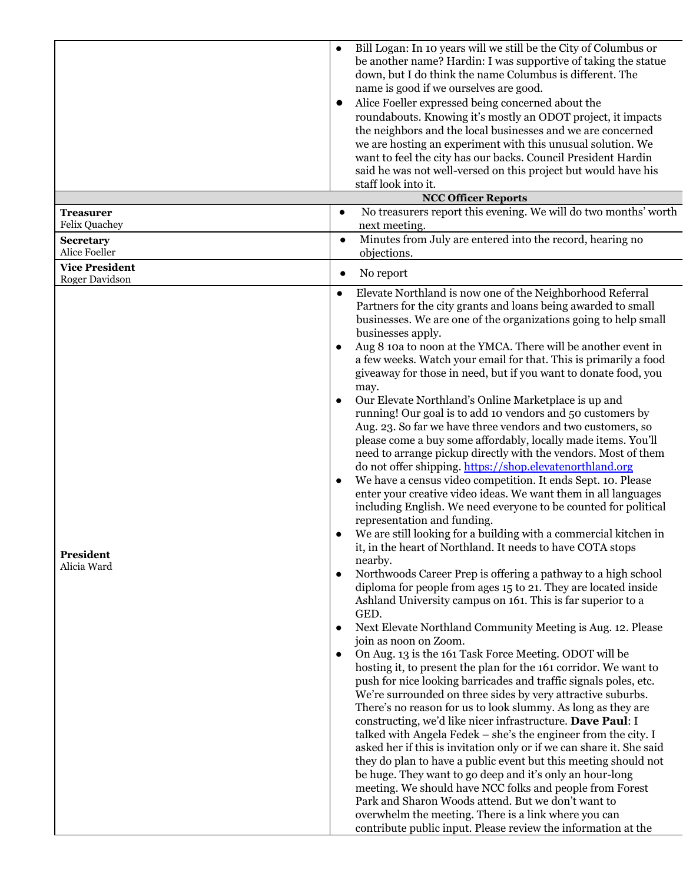|                                         | Bill Logan: In 10 years will we still be the City of Columbus or<br>$\bullet$<br>be another name? Hardin: I was supportive of taking the statue<br>down, but I do think the name Columbus is different. The<br>name is good if we ourselves are good.<br>Alice Foeller expressed being concerned about the<br>$\bullet$<br>roundabouts. Knowing it's mostly an ODOT project, it impacts<br>the neighbors and the local businesses and we are concerned<br>we are hosting an experiment with this unusual solution. We<br>want to feel the city has our backs. Council President Hardin<br>said he was not well-versed on this project but would have his<br>staff look into it.                                                                                                                                                                                                                                                                                                                                                                                                                                                                                                                                                                                                                                                                                                                                                                                                                                                                                                                                                                                                                                                                                                                                                                                                                                                                                                                                                                                                                                                                                                                                                                                                                                                                                                                                                            |  |
|-----------------------------------------|--------------------------------------------------------------------------------------------------------------------------------------------------------------------------------------------------------------------------------------------------------------------------------------------------------------------------------------------------------------------------------------------------------------------------------------------------------------------------------------------------------------------------------------------------------------------------------------------------------------------------------------------------------------------------------------------------------------------------------------------------------------------------------------------------------------------------------------------------------------------------------------------------------------------------------------------------------------------------------------------------------------------------------------------------------------------------------------------------------------------------------------------------------------------------------------------------------------------------------------------------------------------------------------------------------------------------------------------------------------------------------------------------------------------------------------------------------------------------------------------------------------------------------------------------------------------------------------------------------------------------------------------------------------------------------------------------------------------------------------------------------------------------------------------------------------------------------------------------------------------------------------------------------------------------------------------------------------------------------------------------------------------------------------------------------------------------------------------------------------------------------------------------------------------------------------------------------------------------------------------------------------------------------------------------------------------------------------------------------------------------------------------------------------------------------------------|--|
|                                         | <b>NCC Officer Reports</b>                                                                                                                                                                                                                                                                                                                                                                                                                                                                                                                                                                                                                                                                                                                                                                                                                                                                                                                                                                                                                                                                                                                                                                                                                                                                                                                                                                                                                                                                                                                                                                                                                                                                                                                                                                                                                                                                                                                                                                                                                                                                                                                                                                                                                                                                                                                                                                                                                 |  |
| <b>Treasurer</b><br>Felix Quachey       | No treasurers report this evening. We will do two months' worth<br>$\bullet$<br>next meeting.                                                                                                                                                                                                                                                                                                                                                                                                                                                                                                                                                                                                                                                                                                                                                                                                                                                                                                                                                                                                                                                                                                                                                                                                                                                                                                                                                                                                                                                                                                                                                                                                                                                                                                                                                                                                                                                                                                                                                                                                                                                                                                                                                                                                                                                                                                                                              |  |
| <b>Secretary</b><br>Alice Foeller       | Minutes from July are entered into the record, hearing no<br>$\bullet$<br>objections.                                                                                                                                                                                                                                                                                                                                                                                                                                                                                                                                                                                                                                                                                                                                                                                                                                                                                                                                                                                                                                                                                                                                                                                                                                                                                                                                                                                                                                                                                                                                                                                                                                                                                                                                                                                                                                                                                                                                                                                                                                                                                                                                                                                                                                                                                                                                                      |  |
| <b>Vice President</b><br>Roger Davidson | No report<br>$\bullet$                                                                                                                                                                                                                                                                                                                                                                                                                                                                                                                                                                                                                                                                                                                                                                                                                                                                                                                                                                                                                                                                                                                                                                                                                                                                                                                                                                                                                                                                                                                                                                                                                                                                                                                                                                                                                                                                                                                                                                                                                                                                                                                                                                                                                                                                                                                                                                                                                     |  |
| President<br>Alicia Ward                | Elevate Northland is now one of the Neighborhood Referral<br>$\bullet$<br>Partners for the city grants and loans being awarded to small<br>businesses. We are one of the organizations going to help small<br>businesses apply.<br>Aug 8 10a to noon at the YMCA. There will be another event in<br>a few weeks. Watch your email for that. This is primarily a food<br>give away for those in need, but if you want to donate food, you<br>may.<br>Our Elevate Northland's Online Marketplace is up and<br>running! Our goal is to add 10 vendors and 50 customers by<br>Aug. 23. So far we have three vendors and two customers, so<br>please come a buy some affordably, locally made items. You'll<br>need to arrange pickup directly with the vendors. Most of them<br>do not offer shipping. https://shop.elevatenorthland.org<br>We have a census video competition. It ends Sept. 10. Please<br>enter your creative video ideas. We want them in all languages<br>including English. We need everyone to be counted for political<br>representation and funding.<br>We are still looking for a building with a commercial kitchen in<br>it, in the heart of Northland. It needs to have COTA stops<br>nearby.<br>Northwoods Career Prep is offering a pathway to a high school<br>diploma for people from ages 15 to 21. They are located inside<br>Ashland University campus on 161. This is far superior to a<br>GED.<br>Next Elevate Northland Community Meeting is Aug. 12. Please<br>join as noon on Zoom.<br>On Aug. 13 is the 161 Task Force Meeting. ODOT will be<br>hosting it, to present the plan for the 161 corridor. We want to<br>push for nice looking barricades and traffic signals poles, etc.<br>We're surrounded on three sides by very attractive suburbs.<br>There's no reason for us to look slummy. As long as they are<br>constructing, we'd like nicer infrastructure. Dave Paul: I<br>talked with Angela Fedek – she's the engineer from the city. I<br>asked her if this is invitation only or if we can share it. She said<br>they do plan to have a public event but this meeting should not<br>be huge. They want to go deep and it's only an hour-long<br>meeting. We should have NCC folks and people from Forest<br>Park and Sharon Woods attend. But we don't want to<br>overwhelm the meeting. There is a link where you can<br>contribute public input. Please review the information at the |  |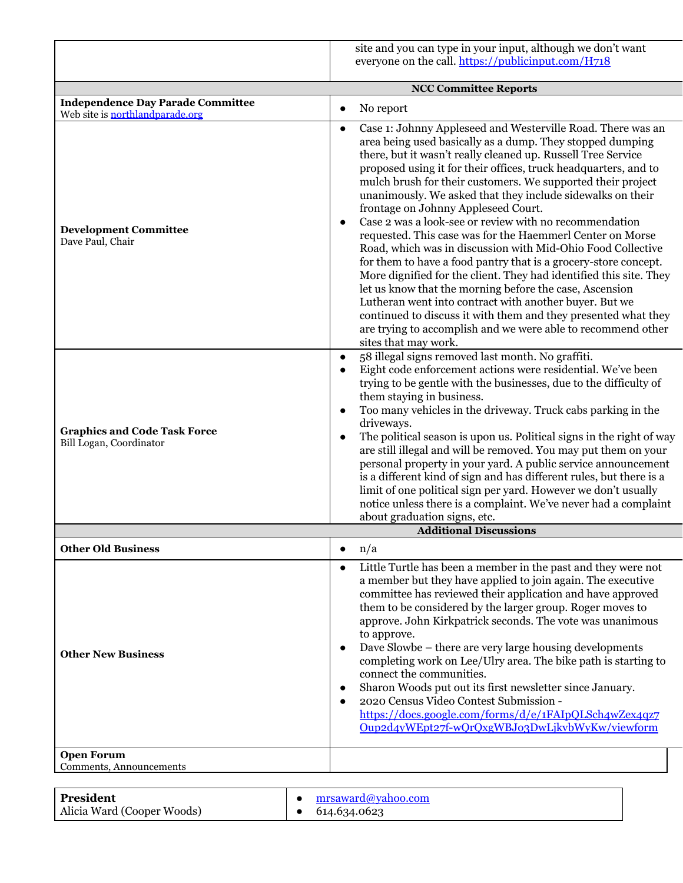|                                                                | site and you can type in your input, although we don't want<br>everyone on the call. https://publicinput.com/H718                                                                                                                                                                                                                                                                                                                                                                                                                                                                                                                                                                                                                                                                                                                                                                                                                                                                                                                                                       |
|----------------------------------------------------------------|-------------------------------------------------------------------------------------------------------------------------------------------------------------------------------------------------------------------------------------------------------------------------------------------------------------------------------------------------------------------------------------------------------------------------------------------------------------------------------------------------------------------------------------------------------------------------------------------------------------------------------------------------------------------------------------------------------------------------------------------------------------------------------------------------------------------------------------------------------------------------------------------------------------------------------------------------------------------------------------------------------------------------------------------------------------------------|
|                                                                | <b>NCC Committee Reports</b>                                                                                                                                                                                                                                                                                                                                                                                                                                                                                                                                                                                                                                                                                                                                                                                                                                                                                                                                                                                                                                            |
| <b>Independence Day Parade Committee</b>                       |                                                                                                                                                                                                                                                                                                                                                                                                                                                                                                                                                                                                                                                                                                                                                                                                                                                                                                                                                                                                                                                                         |
| Web site is northlandparade.org                                | No report<br>$\bullet$                                                                                                                                                                                                                                                                                                                                                                                                                                                                                                                                                                                                                                                                                                                                                                                                                                                                                                                                                                                                                                                  |
| <b>Development Committee</b><br>Dave Paul, Chair               | Case 1: Johnny Appleseed and Westerville Road. There was an<br>$\bullet$<br>area being used basically as a dump. They stopped dumping<br>there, but it wasn't really cleaned up. Russell Tree Service<br>proposed using it for their offices, truck headquarters, and to<br>mulch brush for their customers. We supported their project<br>unanimously. We asked that they include sidewalks on their<br>frontage on Johnny Appleseed Court.<br>Case 2 was a look-see or review with no recommendation<br>$\bullet$<br>requested. This case was for the Haemmerl Center on Morse<br>Road, which was in discussion with Mid-Ohio Food Collective<br>for them to have a food pantry that is a grocery-store concept.<br>More dignified for the client. They had identified this site. They<br>let us know that the morning before the case, Ascension<br>Lutheran went into contract with another buyer. But we<br>continued to discuss it with them and they presented what they<br>are trying to accomplish and we were able to recommend other<br>sites that may work. |
| <b>Graphics and Code Task Force</b><br>Bill Logan, Coordinator | 58 illegal signs removed last month. No graffiti.<br>$\bullet$<br>Eight code enforcement actions were residential. We've been<br>$\bullet$<br>trying to be gentle with the businesses, due to the difficulty of<br>them staying in business.<br>Too many vehicles in the driveway. Truck cabs parking in the<br>$\bullet$<br>driveways.<br>The political season is upon us. Political signs in the right of way<br>$\bullet$<br>are still illegal and will be removed. You may put them on your<br>personal property in your yard. A public service announcement<br>is a different kind of sign and has different rules, but there is a<br>limit of one political sign per yard. However we don't usually<br>notice unless there is a complaint. We've never had a complaint<br>about graduation signs, etc.                                                                                                                                                                                                                                                            |
|                                                                | <b>Additional Discussions</b>                                                                                                                                                                                                                                                                                                                                                                                                                                                                                                                                                                                                                                                                                                                                                                                                                                                                                                                                                                                                                                           |
| <b>Other Old Business</b>                                      | n/a<br>$\bullet$                                                                                                                                                                                                                                                                                                                                                                                                                                                                                                                                                                                                                                                                                                                                                                                                                                                                                                                                                                                                                                                        |
| <b>Other New Business</b>                                      | Little Turtle has been a member in the past and they were not<br>$\bullet$<br>a member but they have applied to join again. The executive<br>committee has reviewed their application and have approved<br>them to be considered by the larger group. Roger moves to<br>approve. John Kirkpatrick seconds. The vote was unanimous<br>to approve.<br>Dave Slowbe – there are very large housing developments<br>$\bullet$<br>completing work on Lee/Ulry area. The bike path is starting to<br>connect the communities.<br>Sharon Woods put out its first newsletter since January.<br>$\bullet$<br>2020 Census Video Contest Submission -<br>$\bullet$<br>https://docs.google.com/forms/d/e/1FAIpQLSch4wZex4qz7<br>Oup2d4yWEpt27f-wQrQxgWBJ03DwLjkvbWyKw/viewform                                                                                                                                                                                                                                                                                                       |
| <b>Open Forum</b><br>Comments, Announcements                   |                                                                                                                                                                                                                                                                                                                                                                                                                                                                                                                                                                                                                                                                                                                                                                                                                                                                                                                                                                                                                                                                         |

| President                  | mrsaward@yahoo.com     |
|----------------------------|------------------------|
| Alicia Ward (Cooper Woods) | $\bullet$ 614.634.0623 |